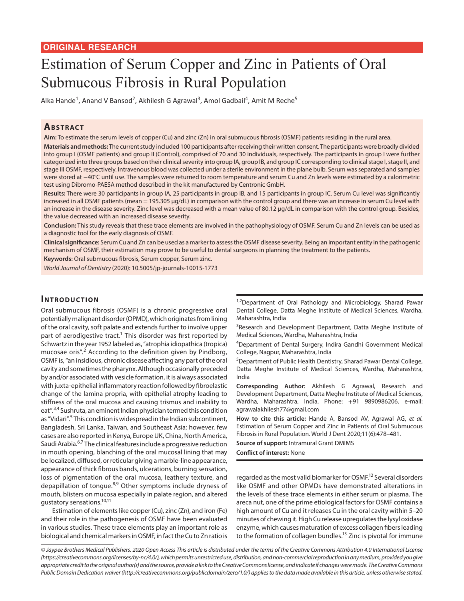# Estimation of Serum Copper and Zinc in Patients of Oral Submucous Fibrosis in Rural Population

Alka Hande<sup>1</sup>, Anand V Bansod<sup>2</sup>, Akhilesh G Agrawal<sup>3</sup>, Amol Gadbail<sup>4</sup>, Amit M Reche<sup>5</sup>

# **ABSTRACT**

**Aim:** To estimate the serum levels of copper (Cu) and zinc (Zn) in oral submucous fibrosis (OSMF) patients residing in the rural area.

**Materials and methods:** The current study included 100 participants after receiving their written consent. The participants were broadly divided into group I (OSMF patients) and group II (Control), comprised of 70 and 30 individuals, respectively. The participants in group I were further categorized into three groups based on their clinical severity into group IA, group IB, and group IC corresponding to clinical stage I, stage II, and stage III OSMF, respectively. Intravenous blood was collected under a sterile environment in the plane bulb. Serum was separated and samples were stored at −40°C until use. The samples were returned to room temperature and serum Cu and Zn levels were estimated by a calorimetric test using Dibromo-PAESA method described in the kit manufactured by Centronic GmbH.

**Results:** There were 30 participants in group IA, 25 participants in group IB, and 15 participants in group IC. Serum Cu level was significantly increased in all OSMF patients (mean = 195.305 μg/dL) in comparison with the control group and there was an increase in serum Cu level with an increase in the disease severity. Zinc level was decreased with a mean value of 80.12 µg/dL in comparison with the control group. Besides, the value decreased with an increased disease severity.

**Conclusion:** This study reveals that these trace elements are involved in the pathophysiology of OSMF. Serum Cu and Zn levels can be used as a diagnostic tool for the early diagnosis of OSMF.

**Clinical significance:** Serum Cu and Zn can be used as a marker to assess the OSMF disease severity. Being an important entity in the pathogenic mechanism of OSMF, their estimation may prove to be useful to dental surgeons in planning the treatment to the patients.

**Keywords:** Oral submucous fibrosis, Serum copper, Serum zinc.

*World Journal of Dentistry* (2020): 10.5005/jp-journals-10015-1773

## **INTRODUCTION**

Oral submucous fibrosis (OSMF) is a chronic progressive oral potentially malignant disorder (OPMD), which originates from lining of the oral cavity, soft palate and extends further to involve upper part of aerodigestive tract.<sup>1</sup> This disorder was first reported by Schwartz in the year 1952 labeled as, "atrophia idiopathica (tropica) mucosae oris".<sup>2</sup> According to the definition given by Pindborg, OSMF is, "an insidious, chronic disease affecting any part of the oral cavity and sometimes the pharynx. Although occasionally preceded by and/or associated with vesicle formation, it is always associated with juxta-epithelial inflammatory reaction followed by fibroelastic change of the lamina propria, with epithelial atrophy leading to stiffness of the oral mucosa and causing trismus and inability to eat".3,4 Sushruta, an eminent Indian physician termed this condition as "Vidari".<sup>5</sup> This condition is widespread in the Indian subcontinent, Bangladesh, Sri Lanka, Taiwan, and Southeast Asia; however, few cases are also reported in Kenya, Europe UK, China, North America, Saudi Arabia.6,7 The clinical features include a progressive reduction in mouth opening, blanching of the oral mucosal lining that may be localized, diffused, or reticular giving a marble-line appearance, appearance of thick fibrous bands, ulcerations, burning sensation, loss of pigmentation of the oral mucosa, leathery texture, and depapillation of tongue.<sup>8,9</sup> Other symptoms include dryness of mouth, blisters on mucosa especially in palate region, and altered gustatory sensations.10,11

Estimation of elements like copper (Cu), zinc (Zn), and iron (Fe) and their role in the pathogenesis of OSMF have been evaluated in various studies. These trace elements play an important role as biological and chemical markers in OSMF, in fact the Cu to Zn ratio is <sup>1,2</sup>Department of Oral Pathology and Microbiology, Sharad Pawar Dental College, Datta Meghe Institute of Medical Sciences, Wardha, Maharashtra, India

<sup>3</sup>Research and Development Department, Datta Meghe Institute of Medical Sciences, Wardha, Maharashtra, India

4 Department of Dental Surgery, Indira Gandhi Government Medical College, Nagpur, Maharashtra, India

<sup>5</sup>Department of Public Health Dentistry, Sharad Pawar Dental College, Datta Meghe Institute of Medical Sciences, Wardha, Maharashtra, India

**Corresponding Author:** Akhilesh G Agrawal, Research and Development Department, Datta Meghe Institute of Medical Sciences, Wardha, Maharashtra, India, Phone: +91 9890986206, e-mail: agrawalakhilesh77@gmail.com

**How to cite this article:** Hande A, Bansod AV, Agrawal AG, *et al.* Estimation of Serum Copper and Zinc in Patients of Oral Submucous Fibrosis in Rural Population. World J Dent 2020;11(6):478–481.

**Source of support:** Intramural Grant DMIMS

**Conflict of interest:** None

regarded as the most valid biomarker for OSMF.<sup>12</sup> Several disorders like OSMF and other OPMDs have demonstrated alterations in the levels of these trace elements in either serum or plasma. The areca nut, one of the prime etiological factors for OSMF contains a high amount of Cu and it releases Cu in the oral cavity within 5–20 minutes of chewing it. High Cu release upregulates the lysyl oxidase enzyme, which causes maturation of excess collagen fibers leading to the formation of collagen bundles.<sup>13</sup> Zinc is pivotal for immune

*© Jaypee Brothers Medical Publishers. 2020 Open Access This article is distributed under the terms of the Creative Commons Attribution 4.0 International License (https://creativecommons.org/licenses/by-nc/4.0/), which permits unrestricted use, distribution, and non-commercial reproduction in any medium, provided you give appropriate credit to the original author(s) and the source, provide a link to the Creative Commons license, and indicate if changes were made. The Creative Commons Public Domain Dedication waiver (http://creativecommons.org/publicdomain/zero/1.0/) applies to the data made available in this article, unless otherwise stated.*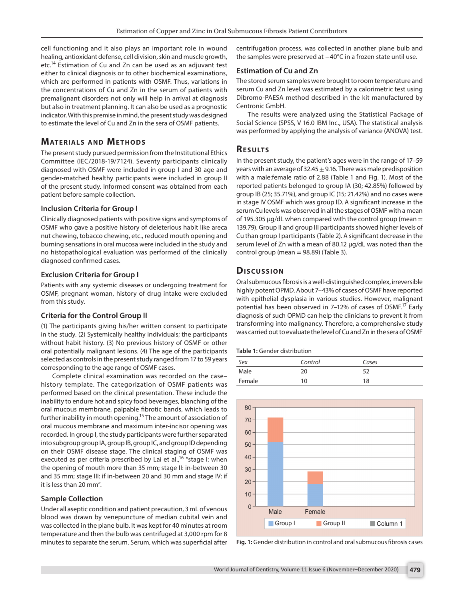cell functioning and it also plays an important role in wound healing, antioxidant defense, cell division, skin and muscle growth, etc.<sup>14</sup> Estimation of Cu and Zn can be used as an adjuvant test either to clinical diagnosis or to other biochemical examinations, which are performed in patients with OSMF. Thus, variations in the concentrations of Cu and Zn in the serum of patients with premalignant disorders not only will help in arrival at diagnosis but also in treatment planning. It can also be used as a prognostic indicator. With this premise in mind, the present study was designed to estimate the level of Cu and Zn in the sera of OSMF patients.

# **MATERIALS AND METHODS**

The present study pursued permission from the Institutional Ethics Committee (IEC/2018-19/7124). Seventy participants clinically diagnosed with OSMF were included in group I and 30 age and gender-matched healthy participants were included in group II of the present study. Informed consent was obtained from each patient before sample collection.

#### **Inclusion Criteria for Group I**

Clinically diagnosed patients with positive signs and symptoms of OSMF who gave a positive history of deleterious habit like areca nut chewing, tobacco chewing, etc., reduced mouth opening and burning sensations in oral mucosa were included in the study and no histopathological evaluation was performed of the clinically diagnosed confirmed cases.

#### **Exclusion Criteria for Group I**

Patients with any systemic diseases or undergoing treatment for OSMF, pregnant woman, history of drug intake were excluded from this study.

#### **Criteria for the Control Group II**

(1) The participants giving his/her written consent to participate in the study. (2) Systemically healthy individuals; the participants without habit history. (3) No previous history of OSMF or other oral potentially malignant lesions. (4) The age of the participants selected as controls in the present study ranged from 17 to 59 years corresponding to the age range of OSMF cases.

Complete clinical examination was recorded on the case– history template. The categorization of OSMF patients was performed based on the clinical presentation. These include the inability to endure hot and spicy food beverages, blanching of the oral mucous membrane, palpable fibrotic bands, which leads to further inability in mouth opening.<sup>15</sup> The amount of association of oral mucous membrane and maximum inter-incisor opening was recorded. In group I, the study participants were further separated into subgroup group IA, group IB, group IC, and group ID depending on their OSMF disease stage. The clinical staging of OSMF was executed as per criteria prescribed by Lai et al.,<sup>16</sup> "stage I: when the opening of mouth more than 35 mm; stage II: in-between 30 and 35 mm; stage III: if in-between 20 and 30 mm and stage IV: if it is less than 20 mm".

### **Sample Collection**

Under all aseptic condition and patient precaution, 3 mL of venous blood was drawn by venepuncture of median cubital vein and was collected in the plane bulb. It was kept for 40 minutes at room temperature and then the bulb was centrifuged at 3,000 rpm for 8 minutes to separate the serum. Serum, which was superficial after centrifugation process, was collected in another plane bulb and the samples were preserved at −40°C in a frozen state until use.

### **Estimation of Cu and Zn**

The stored serum samples were brought to room temperature and serum Cu and Zn level was estimated by a calorimetric test using Dibromo-PAESA method described in the kit manufactured by Centronic GmbH.

The results were analyzed using the Statistical Package of Social Science (SPSS, V 16.0 IBM Inc., USA). The statistical analysis was performed by applying the analysis of variance (ANOVA) test.

# **Re s u lts**

In the present study, the patient's ages were in the range of 17–59 years with an average of 32.45  $\pm$  9.16. There was male predisposition with a male:female ratio of 2.88 (Table 1 and Fig. 1). Most of the reported patients belonged to group IA (30; 42.85%) followed by group IB (25; 35.71%), and group IC (15; 21.42%) and no cases were in stage IV OSMF which was group ID. A significant increase in the serum Cu levels was observed in all the stages of OSMF with a mean of 195.305  $\mu$ g/dL when compared with the control group (mean = 139.79). Group II and group III participants showed higher levels of Cu than group I participants (Table 2). A significant decrease in the serum level of Zn with a mean of 80.12 μg/dL was noted than the control group (mean  $= 98.89$ ) (Table 3).

# **Dis c u s sio n**

Oral submucous fibrosis is a well-distinguished complex, irreversible highly potent OPMD. About 7–43% of cases of OSMF have reported with epithelial dysplasia in various studies. However, malignant potential has been observed in 7-12% of cases of OSMF.<sup>17</sup> Early diagnosis of such OPMD can help the clinicians to prevent it from transforming into malignancy. Therefore, a comprehensive study was carried out to evaluate the level of Cu and Zn in the sera of OSMF

| Sex    | Control | Cases |
|--------|---------|-------|
| Male   | 20      | 52    |
| Female | 10      | 18    |



**Fig. 1:** Gender distribution in control and oral submucous fibrosis cases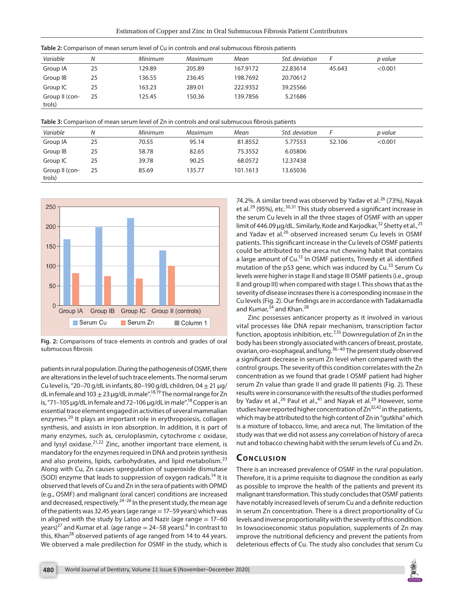| Table 2: Comparison of mean serum level of Cu in controls and oral submucous fibrosis patients |  |  |
|------------------------------------------------------------------------------------------------|--|--|
|------------------------------------------------------------------------------------------------|--|--|

| p value |  |
|---------|--|
|         |  |
| < 0.001 |  |
|         |  |
|         |  |
|         |  |
|         |  |

**Table 3:** Comparison of mean serum level of Zn in controls and oral submucous fibrosis patients

| Variable                 | Ν  | Minimum | Maximum | Mean     | Std. deviation |        | p value |
|--------------------------|----|---------|---------|----------|----------------|--------|---------|
| Group IA                 | 25 | 70.55   | 95.14   | 81.8552  | 5.77553        | 52.106 | < 0.001 |
| Group IB                 | 25 | 58.78   | 82.65   | 75.3552  | 6.05806        |        |         |
| Group IC                 | 25 | 39.78   | 90.25   | 68.0572  | 12.37438       |        |         |
| Group II (con-<br>trols) | 25 | 85.69   | 135.77  | 101.1613 | 13.65036       |        |         |



**Fig. 2:** Comparisons of trace elements in controls and grades of oral submucous fibrosis

patients in rural population. During the pathogenesis of OSMF, there are alterations in the level of such trace elements. The normal serum Cu level is, "20-70 g/dL in infants, 80-190 g/dL children, 04  $\pm$  21 μg/ dL in female and  $103 \pm 23$  µg/dL in male".<sup>18,19</sup> The normal range for Zn is, "71–105 μg/dL in female and 72–106 μg/dL in male".<sup>18</sup> Copper is an essential trace element engaged in activities of several mammalian enzymes.<sup>20</sup> It plays an important role in erythropoiesis, collagen synthesis, and assists in iron absorption. In addition, it is part of many enzymes, such as, ceruloplasmin, cytochrome *c* oxidase, and lysyl oxidase.21,22 Zinc, another important trace element, is mandatory for the enzymes required in DNA and protein synthesis and also proteins, lipids, carbohydrates, and lipid metabolism.<sup>23</sup> Along with Cu, Zn causes upregulation of superoxide dismutase (SOD) enzyme that leads to suppression of oxygen radicals.<sup>14</sup> It is observed that levels of Cu and Zn in the sera of patients with OPMD (e.g., OSMF) and malignant (oral cancer) conditions are increased and decreased, respectively.<sup>24–26</sup> In the present study, the mean age of the patients was 32.45 years (age range  $= 17-59$  years) which was in aligned with the study by Latoo and Nazir (age range  $= 17-60$ years) $^{27}$  and Kumar et al. (age range  $=$  24–58 years). $^6$  In contrast to this, Khan<sup>28</sup> observed patients of age ranged from 14 to 44 years. We observed a male predilection for OSMF in the study, which is

74.2%. A similar trend was observed by Yadav et al.<sup>26</sup> (73%), Nayak et al.<sup>29</sup> (95%), etc.<sup>30,31</sup> This study observed a significant increase in the serum Cu levels in all the three stages of OSMF with an upper limit of 446.09 μg/dL. Similarly, Kode and Karjodkar,<sup>32</sup> Shetty et al.,<sup>25</sup> and Yadav et al.<sup>26</sup> observed increased serum Cu levels in OSMF patients. This significant increase in the Cu levels of OSMF patients could be attributed to the areca nut chewing habit that contains a large amount of Cu.<sup>13</sup> In OSMF patients, Trivedy et al. identified mutation of the p53 gene, which was induced by Cu.<sup>33</sup> Serum Cu levels were higher in stage II and stage III OSMF patients (i.e., group II and group III) when compared with stage I. This shows that as the severity of disease increases there is a corresponding increase in the Cu levels (Fig. 2). Our findings are in accordance with Tadakamadla and Kumar,<sup>34</sup> and Khan.<sup>28</sup>

Zinc possesses anticancer property as it involved in various vital processes like DNA repair mechanism, transcription factor function, apoptosis inhibition, etc.<sup>7,35</sup> Downregulation of Zn in the body has been strongly associated with cancers of breast, prostate, ovarian, oro-esophageal, and lung.36–40 The present study observed a significant decrease in serum Zn level when compared with the control groups. The severity of this condition correlates with the Zn concentration as we found that grade I OSMF patient had higher serum Zn value than grade II and grade III patients (Fig. 2). These results were in consonance with the results of the studies performed by Yadav et al.,<sup>26</sup> Paul et al.,<sup>41</sup> and Nayak et al.<sup>29</sup> However, some studies have reported higher concentration of Zn<sup>32,42</sup> in the patients, which may be attributed to the high content of Zn in "gutkha" which is a mixture of tobacco, lime, and areca nut. The limitation of the study was that we did not assess any correlation of history of areca nut and tobacco chewing habit with the serum levels of Cu and Zn.

### **CONCLUSION**

There is an increased prevalence of OSMF in the rural population. Therefore, it is a prime requisite to diagnose the condition as early as possible to improve the health of the patients and prevent its malignant transformation. This study concludes that OSMF patients have notably increased levels of serum Cu and a definite reduction in serum Zn concentration. There is a direct proportionality of Cu levels and inverse proportionality with the severity of this condition. In lowsocioeconomic status population, supplements of Zn may improve the nutritional deficiency and prevent the patients from deleterious effects of Cu. The study also concludes that serum Cu